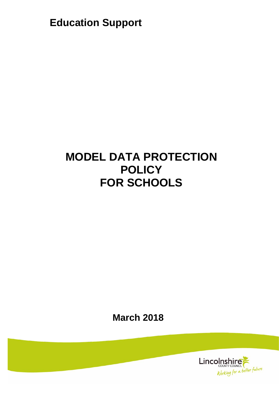**Education Support**

# **MODEL DATA PROTECTION POLICY FOR SCHOOLS**

**March 2018**

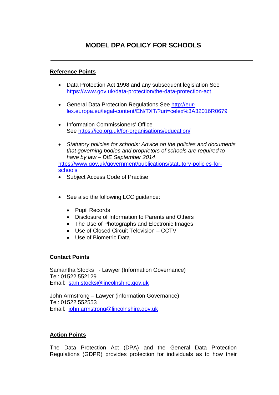## **Reference Points**

- Data Protection Act 1998 and any subsequent legislation See <https://www.gov.uk/data-protection/the-data-protection-act>
- General Data Protection Regulations See [http://eur](http://eur-lex.europa.eu/legal-content/EN/TXT/?uri=celex%3A32016R0679)[lex.europa.eu/legal-content/EN/TXT/?uri=celex%3A32016R0679](http://eur-lex.europa.eu/legal-content/EN/TXT/?uri=celex%3A32016R0679)
- Information Commissioners' Office See<https://ico.org.uk/for-organisations/education/>
- *Statutory policies for schools: Advice on the policies and documents that governing bodies and proprietors of schools are required to have by law – DfE September 2014*.

https://www.gov.uk/government/publications/statutory-policies-forschools

- Subject Access Code of Practise
- See also the following LCC guidance:
	- Pupil Records
	- Disclosure of Information to Parents and Others
	- The Use of Photographs and Electronic Images
	- Use of Closed Circuit Television CCTV
	- Use of Biometric Data

# **Contact Points**

Samantha Stocks - Lawyer (Information Governance) Tel: 01522 552129 Email: [sam.stocks@lincolnshire.gov.uk](mailto:sam.stocks@lincolnshire.gov.uk)

John Armstrong – Lawyer (information Governance) Tel: 01522 552553 Email: [john.armstrong@lincolnshire.gov.uk](mailto:john.armstrong@lincolnshire.gov.uk)

# **Action Points**

The Data Protection Act (DPA) and the General Data Protection Regulations (GDPR) provides protection for individuals as to how their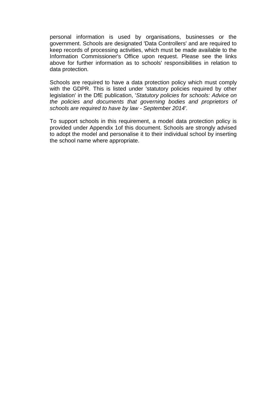personal information is used by organisations, businesses or the government. Schools are designated 'Data Controllers' and are required to keep records of processing activities, which must be made available to the Information Commissioner's Office upon request. Please see the links above for further information as to schools' responsibilities in relation to data protection.

Schools are required to have a data protection policy which must comply with the GDPR. This is listed under 'statutory policies required by other legislation' in the DfE publication, '*Statutory policies for schools: Advice on the policies and documents that governing bodies and proprietors of schools are required to have by law - September 2014'*.

To support schools in this requirement, a model data protection policy is provided under Appendix 1of this document. Schools are strongly advised to adopt the model and personalise it to their individual school by inserting the school name where appropriate.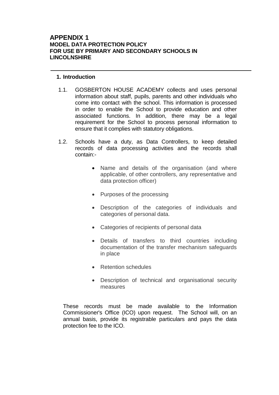## **APPENDIX 1 MODEL DATA PROTECTION POLICY FOR USE BY PRIMARY AND SECONDARY SCHOOLS IN LINCOLNSHIRE**

#### **1. Introduction**

- 1.1. GOSBERTON HOUSE ACADEMY collects and uses personal information about staff, pupils, parents and other individuals who come into contact with the school. This information is processed in order to enable the School to provide education and other associated functions. In addition, there may be a legal requirement for the School to process personal information to ensure that it complies with statutory obligations.
- 1.2. Schools have a duty, as Data Controllers, to keep detailed records of data processing activities and the records shall contain:-
	- Name and details of the organisation (and where applicable, of other controllers, any representative and data protection officer)
	- Purposes of the processing
	- Description of the categories of individuals and categories of personal data.
	- Categories of recipients of personal data
	- Details of transfers to third countries including documentation of the transfer mechanism safeguards in place
	- Retention schedules
	- Description of technical and organisational security measures

These records must be made available to the Information Commissioner's Office (ICO) upon request. The School will, on an annual basis, provide its registrable particulars and pays the data protection fee to the ICO.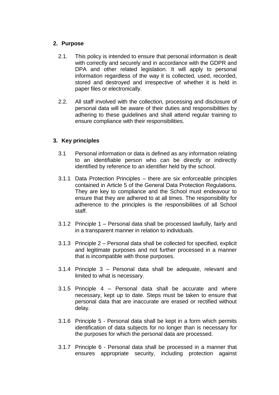## **2. Purpose**

- 2.1. This policy is intended to ensure that personal information is dealt with correctly and securely and in accordance with the GDPR and DPA and other related legislation. It will apply to personal information regardless of the way it is collected, used, recorded, stored and destroyed and irrespective of whether it is held in paper files or electronically.
- 2.2. All staff involved with the collection, processing and disclosure of personal data will be aware of their duties and responsibilities by adhering to these guidelines and shall attend regular training to ensure compliance with their responsibilities.

## **3. Key principles**

- 3.1 Personal information or data is defined as any information relating to an identifiable person who can be directly or indirectly identified by reference to an identifier held by the school.
- 3.1.1 Data Protection Principles there are six enforceable principles contained in Article 5 of the General Data Protection Regulations. They are key to compliance and the School must endeavour to ensure that they are adhered to at all times. The responsibility for adherence to the principles is the responsibilities of all School staff.
- 3.1.2 Principle 1 Personal data shall be processed lawfully, fairly and in a transparent manner in relation to individuals.
- 3.1.3 Principle 2 Personal data shall be collected for specified, explicit and legitimate purposes and not further processed in a manner that is incompatible with those purposes.
- 3.1.4 Principle 3 Personal data shall be adequate, relevant and limited to what is necessary.
- 3.1.5 Principle 4 Personal data shall be accurate and where necessary, kept up to date. Steps must be taken to ensure that personal data that are inaccurate are erased or rectified without delay.
- 3.1.6 Principle 5 Personal data shall be kept in a form which permits identification of data subjects for no longer than is necessary for the purposes for which the personal data are processed.
- 3.1.7 Principle 6 Personal data shall be processed in a manner that ensures appropriate security, including protection against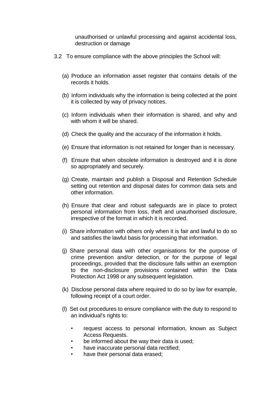unauthorised or unlawful processing and against accidental loss, destruction or damage

- 3.2 To ensure compliance with the above principles the School will:
	- (a) Produce an information asset register that contains details of the records it holds.
	- (b) Inform individuals why the information is being collected at the point it is collected by way of privacy notices.
	- (c) Inform individuals when their information is shared, and why and with whom it will be shared.
	- (d) Check the quality and the accuracy of the information it holds.
	- (e) Ensure that information is not retained for longer than is necessary.
	- (f) Ensure that when obsolete information is destroyed and it is done so appropriately and securely.
	- (g) Create, maintain and publish a Disposal and Retention Schedule setting out retention and disposal dates for common data sets and other information.
	- (h) Ensure that clear and robust safeguards are in place to protect personal information from loss, theft and unauthorised disclosure, irrespective of the format in which it is recorded.
	- (i) Share information with others only when it is fair and lawful to do so and satisfies the lawful basis for processing that information.
	- (j) Share personal data with other organisations for the purpose of crime prevention and/or detection, or for the purpose of legal proceedings, provided that the disclosure falls within an exemption to the non-disclosure provisions contained within the Data Protection Act 1998 or any subsequent legislation.
	- (k) Disclose personal data where required to do so by law for example, following receipt of a court order.
	- (l) Set out procedures to ensure compliance with the duty to respond to an individual's rights to:
		- request access to personal information, known as Subject Access Requests.
		- be informed about the way their data is used;
		- have inaccurate personal data rectified:
		- have their personal data erased;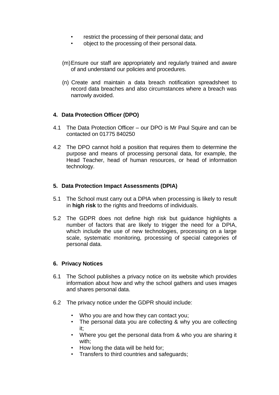- restrict the processing of their personal data; and
- object to the processing of their personal data.
- (m)Ensure our staff are appropriately and regularly trained and aware of and understand our policies and procedures.
- (n) Create and maintain a data breach notification spreadsheet to record data breaches and also circumstances where a breach was narrowly avoided.

# **4. Data Protection Officer (DPO)**

- 4.1 The Data Protection Officer our DPO is Mr Paul Squire and can be contacted on 01775 840250
- 4.2 The DPO cannot hold a position that requires them to determine the purpose and means of processing personal data, for example, the Head Teacher, head of human resources, or head of information technology.

#### **5. Data Protection Impact Assessments (DPIA)**

- 5.1 The School must carry out a DPIA when processing is likely to result in **high risk** to the rights and freedoms of individuals.
- 5.2 The GDPR does not define high risk but guidance highlights a number of factors that are likely to trigger the need for a DPIA, which include the use of new technologies, processing on a large scale, systematic monitoring, processing of special categories of personal data.

#### **6. Privacy Notices**

- 6.1 The School publishes a privacy notice on its website which provides information about how and why the school gathers and uses images and shares personal data.
- 6.2 The privacy notice under the GDPR should include:
	- Who you are and how they can contact you;
	- The personal data you are collecting & why you are collecting it;
	- Where you get the personal data from & who you are sharing it with;
	- How long the data will be held for;
	- Transfers to third countries and safeguards;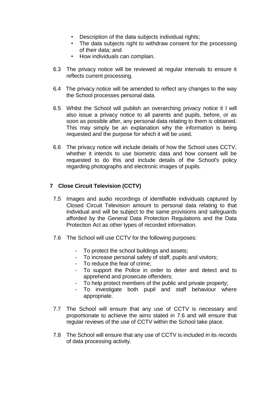- Description of the data subjects individual rights;
- The data subjects right to withdraw consent for the processing of their data; and
- How individuals can complain.
- 6.3 The privacy notice will be reviewed at regular intervals to ensure it reflects current processing.
- 6.4 The privacy notice will be amended to reflect any changes to the way the School processes personal data.
- 6.5 Whilst the School will publish an overarching privacy notice it l will also issue a privacy notice to all parents and pupils, before, or as soon as possible after, any personal data relating to them is obtained. This may simply be an explanation why the information is being requested and the purpose for which it will be used.
- 6.6 The privacy notice will include details of how the School uses CCTV, whether it intends to use biometric data and how consent will be requested to do this and include details of the School's policy regarding photographs and electronic images of pupils.

## **7 Close Circuit Television (CCTV)**

- 7.5 Images and audio recordings of identifiable individuals captured by Closed Circuit Television amount to personal data relating to that individual and will be subject to the same provisions and safeguards afforded by the General Data Protection Regulations and the Data Protection Act as other types of recorded information.
- 7.6 The School will use CCTV for the following purposes:
	- To protect the school buildings and assets;
	- To increase personal safety of staff, pupils and visitors;
	- To reduce the fear of crime;
	- To support the Police in order to deter and detect and to apprehend and prosecute offenders;
	- To help protect members of the public and private property;
	- To investigate both pupil and staff behaviour where appropriate.
- 7.7 The School will ensure that any use of CCTV is necessary and proportionate to achieve the aims stated in 7.6 and will ensure that regular reviews of the use of CCTV within the School take place.
- 7.8 The School will ensure that any use of CCTV is included in its records of data processing activity.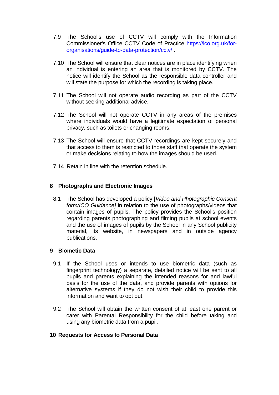- 7.9 The School's use of CCTV will comply with the Information Commissioner's Office CCTV Code of Practice [https://ico.org.uk/for](https://ico.org.uk/for-organisations/guide-to-data-protection/cctv/)[organisations/guide-to-data-protection/cctv/](https://ico.org.uk/for-organisations/guide-to-data-protection/cctv/) .
- 7.10 The School will ensure that clear notices are in place identifying when an individual is entering an area that is monitored by CCTV. The notice will identify the School as the responsible data controller and will state the purpose for which the recording is taking place.
- 7.11 The School will not operate audio recording as part of the CCTV without seeking additional advice.
- 7.12 The School will not operate CCTV in any areas of the premises where individuals would have a legitimate expectation of personal privacy, such as toilets or changing rooms.
- 7.13 The School will ensure that CCTV recordings are kept securely and that access to them is restricted to those staff that operate the system or make decisions relating to how the images should be used.
- 7.14 Retain in line with the retention schedule.

## **8 Photographs and Electronic Images**

8.1 The School has developed a policy [*Video and Photographic Consent form/ICO Guidance]* in relation to the use of photographs/videos that contain images of pupils. The policy provides the School's position regarding parents photographing and filming pupils at school events and the use of images of pupils by the School in any School publicity material, its website, in newspapers and in outside agency publications.

#### **9 Biometic Data**

- 9.1 If the School uses or intends to use biometric data (such as fingerprint technology) a separate, detailed notice will be sent to all pupils and parents explaining the intended reasons for and lawful basis for the use of the data, and provide parents with options for alternative systems if they do not wish their child to provide this information and want to opt out.
- 9.2 The School will obtain the written consent of at least one parent or carer with Parental Responsibility for the child before taking and using any biometric data from a pupil.

#### **10 Requests for Access to Personal Data**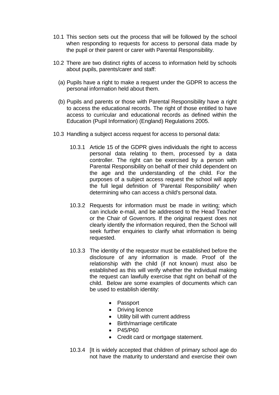- 10.1 This section sets out the process that will be followed by the school when responding to requests for access to personal data made by the pupil or their parent or carer with Parental Responsibility.
- 10.2 There are two distinct rights of access to information held by schools about pupils, parents/carer and staff:
	- (a) Pupils have a right to make a request under the GDPR to access the personal information held about them.
	- (b) Pupils and parents or those with Parental Responsibility have a right to access the educational records. The right of those entitled to have access to curricular and educational records as defined within the Education (Pupil Information) (England) Regulations 2005.
- 10.3 Handling a subject access request for access to personal data:
	- 10.3.1 Article 15 of the GDPR gives individuals the right to access personal data relating to them, processed by a data controller. The right can be exercised by a person with Parental Responsibility on behalf of their child dependent on the age and the understanding of the child. For the purposes of a subject access request the school will apply the full legal definition of 'Parental Responsibility' when determining who can access a child's personal data.
	- 10.3.2 Requests for information must be made in writing; which can include e-mail, and be addressed to the Head Teacher or the Chair of Governors. If the original request does not clearly identify the information required, then the School will seek further enquiries to clarify what information is being requested.
	- 10.3.3 The identity of the requestor must be established before the disclosure of any information is made. Proof of the relationship with the child (if not known) must also be established as this will verify whether the individual making the request can lawfully exercise that right on behalf of the child. Below are some examples of documents which can be used to establish identity:
		- Passport
		- Driving licence
		- Utility bill with current address
		- Birth/marriage certificate
		- P45/P60
		- Credit card or mortgage statement.
	- 10.3.4 [It is widely accepted that children of primary school age do not have the maturity to understand and exercise their own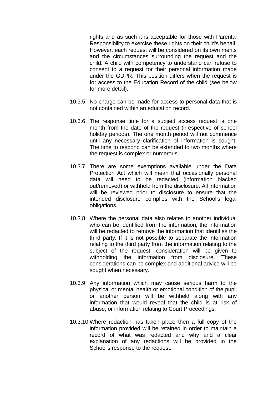rights and as such it is acceptable for those with Parental Responsibility to exercise these rights on their child's behalf. However, each request will be considered on its own merits and the circumstances surrounding the request and the child. A child with competency to understand can refuse to consent to a request for their personal information made under the GDPR. This position differs when the request is for access to the Education Record of the child (see below for more detail).

- 10.3.5 No charge can be made for access to personal data that is not contained within an education record.
- 10.3.6 The response time for a subject access request is one month from the date of the request (irrespective of school holiday periods). The one month period will not commence until any necessary clarification of information is sought. The time to respond can be extended to two months where the request is complex or numerous.
- 10.3.7 There are some exemptions available under the Data Protection Act which will mean that occasionally personal data will need to be redacted (information blacked out/removed) or withheld from the disclosure. All information will be reviewed prior to disclosure to ensure that the intended disclosure complies with the School's legal obligations.
- 10.3.8 Where the personal data also relates to another individual who can be identified from the information, the information will be redacted to remove the information that identifies the third party. If it is not possible to separate the information relating to the third party from the information relating to the subject of the request, consideration will be given to withholding the information from disclosure. These considerations can be complex and additional advice will be sought when necessary.
- 10.3.9 Any information which may cause serious harm to the physical or mental health or emotional condition of the pupil or another person will be withheld along with any information that would reveal that the child is at risk of abuse, or information relating to Court Proceedings.
- 10.3.10 Where redaction has taken place then a full copy of the information provided will be retained in order to maintain a record of what was redacted and why and a clear explanation of any redactions will be provided in the School's response to the request.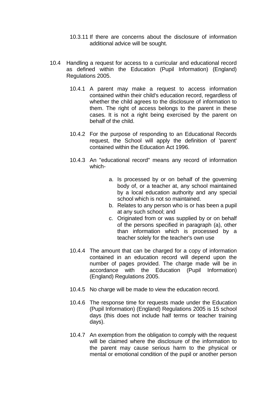- 10.3.11 If there are concerns about the disclosure of information additional advice will be sought.
- 10.4 Handling a request for access to a curricular and educational record as defined within the Education (Pupil Information) (England) Regulations 2005.
	- 10.4.1 A parent may make a request to access information contained within their child's education record, regardless of whether the child agrees to the disclosure of information to them. The right of access belongs to the parent in these cases. It is not a right being exercised by the parent on behalf of the child.
	- 10.4.2 For the purpose of responding to an Educational Records request, the School will apply the definition of 'parent' contained within the Education Act 1996.
	- 10.4.3 An "educational record" means any record of information which
		- a. Is processed by or on behalf of the governing body of, or a teacher at, any school maintained by a local education authority and any special school which is not so maintained.
		- b. Relates to any person who is or has been a pupil at any such school; and
		- c. Originated from or was supplied by or on behalf of the persons specified in paragraph (a), other than information which is processed by a teacher solely for the teacher's own use
	- 10.4.4 The amount that can be charged for a copy of information contained in an education record will depend upon the number of pages provided. The charge made will be in accordance with the Education (Pupil Information) (England) Regulations 2005.
	- 10.4.5 No charge will be made to view the education record.
	- 10.4.6 The response time for requests made under the Education (Pupil Information) (England) Regulations 2005 is 15 school days (this does not include half terms or teacher training days).
	- 10.4.7 An exemption from the obligation to comply with the request will be claimed where the disclosure of the information to the parent may cause serious harm to the physical or mental or emotional condition of the pupil or another person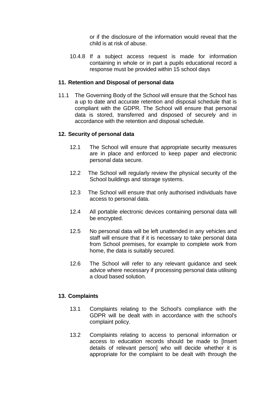or if the disclosure of the information would reveal that the child is at risk of abuse.

10.4.8 If a subject access request is made for information containing in whole or in part a pupils educational record a response must be provided within 15 school days

## **11. Retention and Disposal of personal data**

11.1 The Governing Body of the School will ensure that the School has a up to date and accurate retention and disposal schedule that is compliant with the GDPR. The School will ensure that personal data is stored, transferred and disposed of securely and in accordance with the retention and disposal schedule.

## **12. Security of personal data**

- 12.1 The School will ensure that appropriate security measures are in place and enforced to keep paper and electronic personal data secure.
- 12.2 The School will regularly review the physical security of the School buildings and storage systems.
- 12.3 The School will ensure that only authorised individuals have access to personal data.
- 12.4 All portable electronic devices containing personal data will be encrypted.
- 12.5 No personal data will be left unattended in any vehicles and staff will ensure that if it is necessary to take personal data from School premises, for example to complete work from home, the data is suitably secured.
- 12.6 The School will refer to any relevant guidance and seek advice where necessary if processing personal data utilising a cloud based solution.

# **13. Complaints**

- 13.1 Complaints relating to the School's compliance with the GDPR will be dealt with in accordance with the school's complaint policy.
- 13.2 Complaints relating to access to personal information or access to education records should be made to [Insert details of relevant person] who will decide whether it is appropriate for the complaint to be dealt with through the